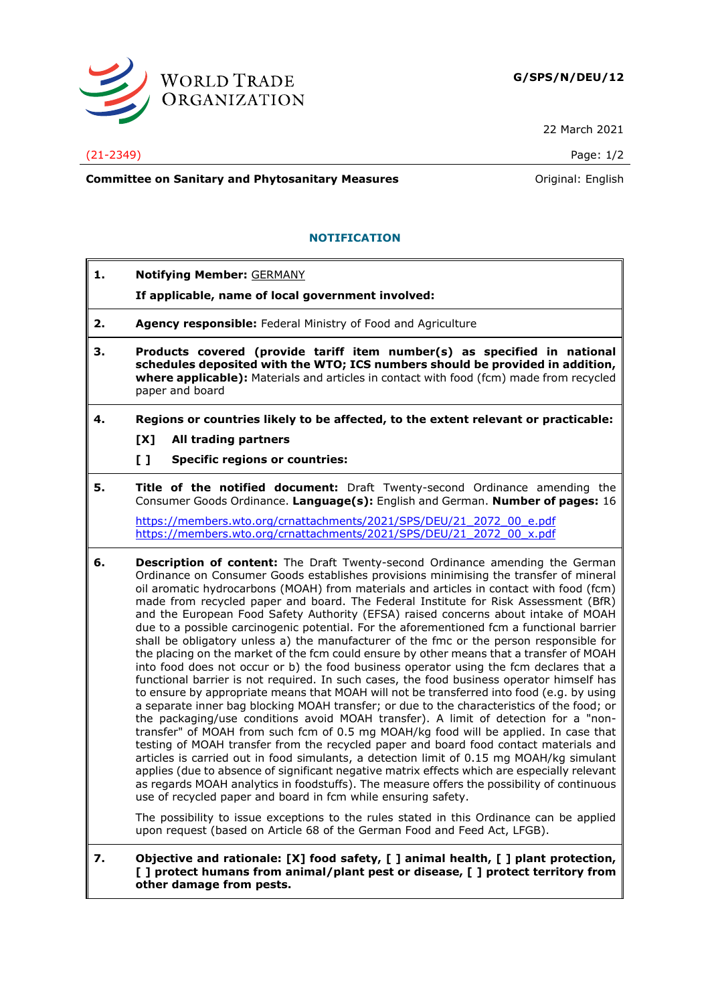

22 March 2021

### (21-2349) Page: 1/2

**Committee on Sanitary and Phytosanitary Measures Committee on Sanitary and Phytosanitary Measures Original: English** 

# **NOTIFICATION**

**1. Notifying Member:** GERMANY

# **If applicable, name of local government involved:**

- **2. Agency responsible:** Federal Ministry of Food and Agriculture
- **3. Products covered (provide tariff item number(s) as specified in national schedules deposited with the WTO; ICS numbers should be provided in addition, where applicable):** Materials and articles in contact with food (fcm) made from recycled paper and board
- **4. Regions or countries likely to be affected, to the extent relevant or practicable:**
	- **[X] All trading partners**
	- **[ ] Specific regions or countries:**

**5. Title of the notified document:** Draft Twenty-second Ordinance amending the Consumer Goods Ordinance. **Language(s):** English and German. **Number of pages:** 16

[https://members.wto.org/crnattachments/2021/SPS/DEU/21\\_2072\\_00\\_e.pdf](https://members.wto.org/crnattachments/2021/SPS/DEU/21_2072_00_e.pdf) [https://members.wto.org/crnattachments/2021/SPS/DEU/21\\_2072\\_00\\_x.pdf](https://members.wto.org/crnattachments/2021/SPS/DEU/21_2072_00_x.pdf)

**6. Description of content:** The Draft Twenty-second Ordinance amending the German Ordinance on Consumer Goods establishes provisions minimising the transfer of mineral oil aromatic hydrocarbons (MOAH) from materials and articles in contact with food (fcm) made from recycled paper and board. The Federal Institute for Risk Assessment (BfR) and the European Food Safety Authority (EFSA) raised concerns about intake of MOAH due to a possible carcinogenic potential. For the aforementioned fcm a functional barrier shall be obligatory unless a) the manufacturer of the fmc or the person responsible for the placing on the market of the fcm could ensure by other means that a transfer of MOAH into food does not occur or b) the food business operator using the fcm declares that a functional barrier is not required. In such cases, the food business operator himself has to ensure by appropriate means that MOAH will not be transferred into food (e.g. by using a separate inner bag blocking MOAH transfer; or due to the characteristics of the food; or the packaging/use conditions avoid MOAH transfer). A limit of detection for a "nontransfer" of MOAH from such fcm of 0.5 mg MOAH/kg food will be applied. In case that testing of MOAH transfer from the recycled paper and board food contact materials and articles is carried out in food simulants, a detection limit of 0.15 mg MOAH/kg simulant applies (due to absence of significant negative matrix effects which are especially relevant as regards MOAH analytics in foodstuffs). The measure offers the possibility of continuous use of recycled paper and board in fcm while ensuring safety.

The possibility to issue exceptions to the rules stated in this Ordinance can be applied upon request (based on Article 68 of the German Food and Feed Act, LFGB).

#### **7. Objective and rationale: [X] food safety, [ ] animal health, [ ] plant protection, [ ] protect humans from animal/plant pest or disease, [ ] protect territory from other damage from pests.**